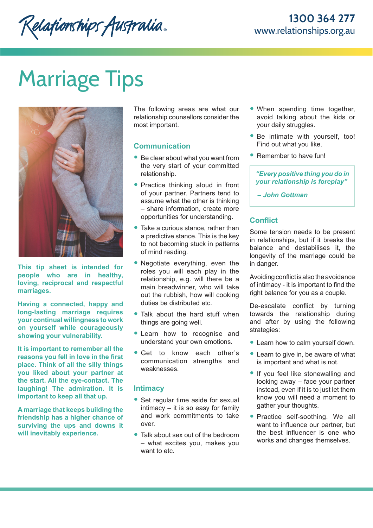# Marriage Tips



**This tip sheet is intended for people who are in healthy, loving, reciprocal and respectful marriages.** 

**Having a connected, happy and long-lasting marriage requires your continual willingness to work on yourself while courageously showing your vulnerability.** 

**It is important to remember all the reasons you fell in love in the first place. Think of all the silly things you liked about your partner at the start. All the eye-contact. The laughing! The admiration. It is important to keep all that up.**

**A marriage that keeps building the friendship has a higher chance of surviving the ups and downs it will inevitably experience.** 

The following areas are what our relationship counsellors consider the most important.

## **Communication**

- Be clear about what you want from the very start of your committed relationship.
- Practice thinking aloud in front of your partner. Partners tend to assume what the other is thinking – share information, create more opportunities for understanding.
- Take a curious stance, rather than a predictive stance. This is the key to not becoming stuck in patterns of mind reading.
- Negotiate everything, even the roles you will each play in the relationship, e.g. will there be a main breadwinner, who will take out the rubbish, how will cooking duties be distributed etc.
- Talk about the hard stuff when things are going well.
- Learn how to recognise and understand your own emotions.
- Get to know each other's communication strengths and weaknesses.

### **Intimacy**

- Set regular time aside for sexual intimacy – it is so easy for family and work commitments to take over.
- Talk about sex out of the bedroom – what excites you, makes you want to etc.
- When spending time together, avoid talking about the kids or your daily struggles.
- Be intimate with yourself, too! Find out what you like.
- Remember to have fun!

*"Every positive thing you do in your relationship is foreplay"*

 *– John Gottman*

# **Conflict**

Some tension needs to be present in relationships, but if it breaks the balance and destabilises it, the longevity of the marriage could be in danger.

Avoiding conflict is also the avoidance of intimacy - it is important to find the right balance for you as a couple.

De-escalate conflict by turning towards the relationship during and after by using the following strategies:

- Learn how to calm yourself down.
- Learn to give in, be aware of what is important and what is not.
- If you feel like stonewalling and looking away – face your partner instead, even if it is to just let them know you will need a moment to gather your thoughts.
- Practice self-soothing. We all want to influence our partner, but the best influencer is one who works and changes themselves.